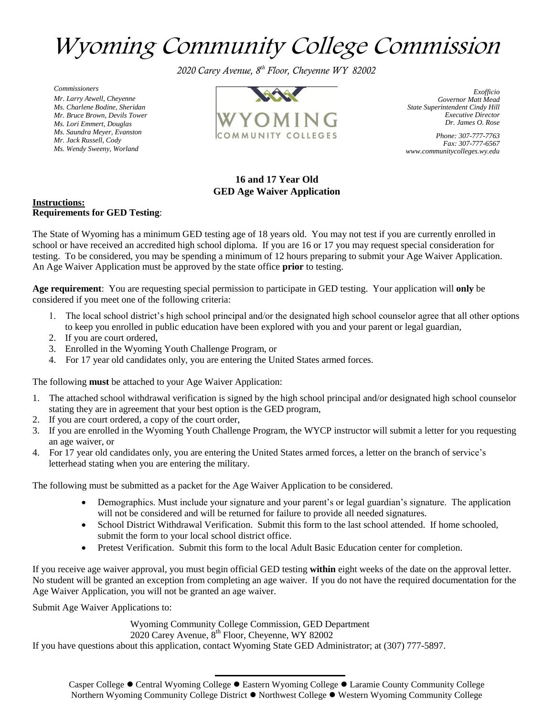# Wyoming Community College Commission

 *2020 Carey Avenue, 8th Floor, Cheyenne WY 82002*

*Commissioners Mr. Larry Atwell, Cheyenne Ms. Charlene Bodine, Sheridan Mr. Bruce Brown, Devils Tower Ms. Lori Emmert, Douglas Ms. Saundra Meyer, Evanston Mr. Jack Russell, Cody Ms. Wendy Sweeny, Worland*



*Exofficio Governor Matt Mead State Superintendent Cindy Hill Executive Director Dr. James O. Rose*

*Phone: 307-777-7763 Fax: 307-777-6567 www.communitycolleges.wy.edu*

## **16 and 17 Year Old GED Age Waiver Application**

#### **Instructions: Requirements for GED Testing**:

The State of Wyoming has a minimum GED testing age of 18 years old. You may not test if you are currently enrolled in school or have received an accredited high school diploma. If you are 16 or 17 you may request special consideration for testing. To be considered, you may be spending a minimum of 12 hours preparing to submit your Age Waiver Application. An Age Waiver Application must be approved by the state office **prior** to testing.

**Age requirement**: You are requesting special permission to participate in GED testing. Your application will **only** be considered if you meet one of the following criteria:

- 1. The local school district's high school principal and/or the designated high school counselor agree that all other options to keep you enrolled in public education have been explored with you and your parent or legal guardian,
- 2. If you are court ordered,
- 3. Enrolled in the Wyoming Youth Challenge Program, or
- 4. For 17 year old candidates only, you are entering the United States armed forces.

The following **must** be attached to your Age Waiver Application:

- 1. The attached school withdrawal verification is signed by the high school principal and/or designated high school counselor stating they are in agreement that your best option is the GED program,
- 2. If you are court ordered, a copy of the court order,
- 3. If you are enrolled in the Wyoming Youth Challenge Program, the WYCP instructor will submit a letter for you requesting an age waiver, or
- 4. For 17 year old candidates only, you are entering the United States armed forces, a letter on the branch of service's letterhead stating when you are entering the military.

The following must be submitted as a packet for the Age Waiver Application to be considered.

- Demographics. Must include your signature and your parent's or legal guardian's signature. The application will not be considered and will be returned for failure to provide all needed signatures.
- School District Withdrawal Verification. Submit this form to the last school attended. If home schooled, submit the form to your local school district office.
- Pretest Verification. Submit this form to the local Adult Basic Education center for completion.

If you receive age waiver approval, you must begin official GED testing **within** eight weeks of the date on the approval letter. No student will be granted an exception from completing an age waiver. If you do not have the required documentation for the Age Waiver Application, you will not be granted an age waiver.

Submit Age Waiver Applications to:

Wyoming Community College Commission, GED Department 2020 Carey Avenue, 8<sup>th</sup> Floor, Cheyenne, WY 82002

If you have questions about this application, contact Wyoming State GED Administrator; at (307) 777-5897.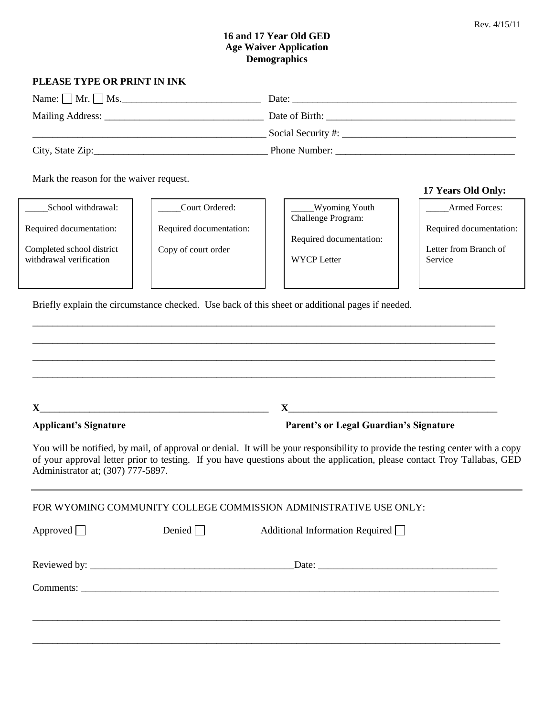### **16 and 17 Year Old GED Age Waiver Application Demographics**

## **PLEASE TYPE OR PRINT IN INK**

| Name: $\Box$ Mr. $\Box$ Ms. | Date:                                       |
|-----------------------------|---------------------------------------------|
|                             | Date of Birth:                              |
|                             | Social Security #: $\overline{\phantom{a}}$ |
| City, State Zip:            | Phone Number:                               |

Mark the reason for the waiver request.

İ School withdrawal:

Required documentation:

Completed school district withdrawal verification

\_\_\_\_\_Court Ordered: Required documentation:

Copy of court order

\_\_\_\_\_Wyoming Youth Challenge Program:

Required documentation:

WYCP Letter

#### **17 Years Old Only:**

Armed Forces:

Required documentation:

Letter from Branch of Service

Briefly explain the circumstance checked. Use back of this sheet or additional pages if needed.

**X**\_\_\_\_\_\_\_\_\_\_\_\_\_\_\_\_\_\_\_\_\_\_\_\_\_\_\_\_\_\_\_\_\_\_\_\_\_\_\_\_\_\_\_\_\_\_ **X**\_\_\_\_\_\_\_\_\_\_\_\_\_\_\_\_\_\_\_\_\_\_\_\_\_\_\_\_\_\_\_\_\_\_\_\_\_\_\_\_\_\_ **Applicant's Signature Parent's or Legal Guardian's Signature**

You will be notified, by mail, of approval or denial. It will be your responsibility to provide the testing center with a copy of your approval letter prior to testing. If you have questions about the application, please contact Troy Tallabas, GED Administrator at; (307) 777-5897.

\_\_\_\_\_\_\_\_\_\_\_\_\_\_\_\_\_\_\_\_\_\_\_\_\_\_\_\_\_\_\_\_\_\_\_\_\_\_\_\_\_\_\_\_\_\_\_\_\_\_\_\_\_\_\_\_\_\_\_\_\_\_\_\_\_\_\_\_\_\_\_\_\_\_\_\_\_\_\_\_\_\_\_\_\_\_\_\_\_\_\_\_\_ \_\_\_\_\_\_\_\_\_\_\_\_\_\_\_\_\_\_\_\_\_\_\_\_\_\_\_\_\_\_\_\_\_\_\_\_\_\_\_\_\_\_\_\_\_\_\_\_\_\_\_\_\_\_\_\_\_\_\_\_\_\_\_\_\_\_\_\_\_\_\_\_\_\_\_\_\_\_\_\_\_\_\_\_\_\_\_\_\_\_\_\_\_ \_\_\_\_\_\_\_\_\_\_\_\_\_\_\_\_\_\_\_\_\_\_\_\_\_\_\_\_\_\_\_\_\_\_\_\_\_\_\_\_\_\_\_\_\_\_\_\_\_\_\_\_\_\_\_\_\_\_\_\_\_\_\_\_\_\_\_\_\_\_\_\_\_\_\_\_\_\_\_\_\_\_\_\_\_\_\_\_\_\_\_\_\_ \_\_\_\_\_\_\_\_\_\_\_\_\_\_\_\_\_\_\_\_\_\_\_\_\_\_\_\_\_\_\_\_\_\_\_\_\_\_\_\_\_\_\_\_\_\_\_\_\_\_\_\_\_\_\_\_\_\_\_\_\_\_\_\_\_\_\_\_\_\_\_\_\_\_\_\_\_\_\_\_\_\_\_\_\_\_\_\_\_\_\_\_\_

| FOR WYOMING COMMUNITY COLLEGE COMMISSION ADMINISTRATIVE USE ONLY: |               |                                        |  |  |  |  |
|-------------------------------------------------------------------|---------------|----------------------------------------|--|--|--|--|
| Approved $\Box$                                                   | Denied $\Box$ | Additional Information Required $\Box$ |  |  |  |  |
|                                                                   |               |                                        |  |  |  |  |
|                                                                   |               |                                        |  |  |  |  |
|                                                                   |               |                                        |  |  |  |  |
|                                                                   |               |                                        |  |  |  |  |
|                                                                   |               |                                        |  |  |  |  |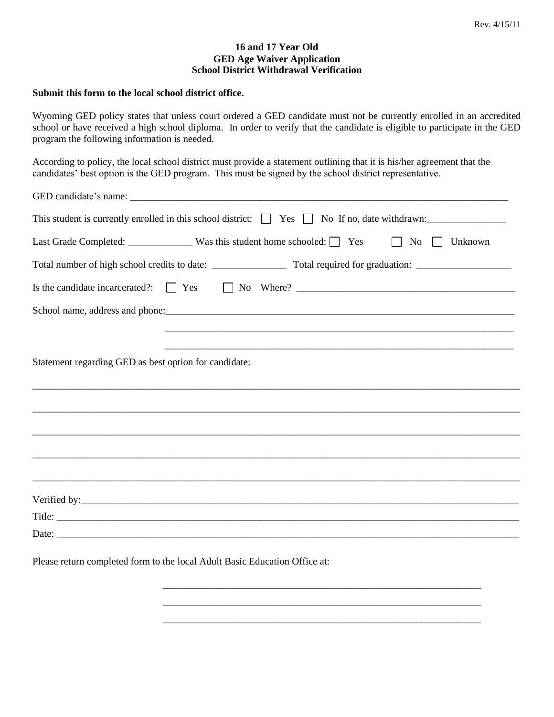#### **16 and 17 Year Old GED Age Waiver Application School District Withdrawal Verification**

#### **Submit this form to the local school district office.**

Wyoming GED policy states that unless court ordered a GED candidate must not be currently enrolled in an accredited school or have received a high school diploma. In order to verify that the candidate is eligible to participate in the GED program the following information is needed.

According to policy, the local school district must provide a statement outlining that it is his/her agreement that the candidates' best option is the GED program. This must be signed by the school district representative.

\_\_\_\_\_\_\_\_\_\_\_\_\_\_\_\_\_\_\_\_\_\_\_\_\_\_\_\_\_\_\_\_\_\_\_\_\_\_\_\_\_\_\_\_\_\_\_\_\_\_\_\_\_\_\_\_\_\_\_\_\_\_\_\_

\_\_\_\_\_\_\_\_\_\_\_\_\_\_\_\_\_\_\_\_\_\_\_\_\_\_\_\_\_\_\_\_\_\_\_\_\_\_\_\_\_\_\_\_\_\_\_\_\_\_\_\_\_\_\_\_\_\_\_\_\_\_\_\_ \_\_\_\_\_\_\_\_\_\_\_\_\_\_\_\_\_\_\_\_\_\_\_\_\_\_\_\_\_\_\_\_\_\_\_\_\_\_\_\_\_\_\_\_\_\_\_\_\_\_\_\_\_\_\_\_\_\_\_\_\_\_\_\_

Please return completed form to the local Adult Basic Education Office at: